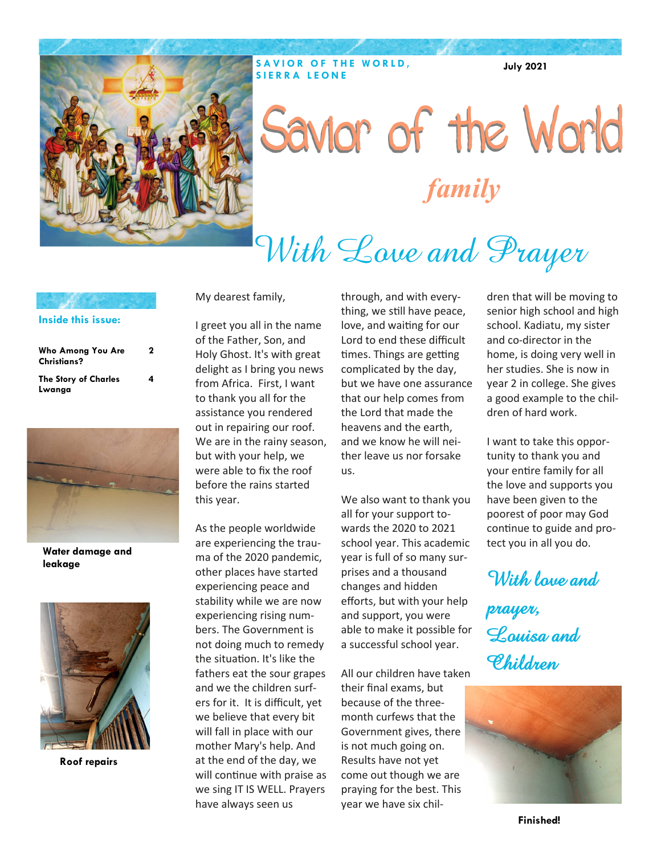

## Savior of the World *family*

## With Love and Prayer

| Inside this issue: |
|--------------------|
|                    |

| Who Among You Are<br><b>Christians?</b> | 2 |
|-----------------------------------------|---|
| <b>The Story of Charles</b><br>Lwanga   | 4 |



**Water damage and leakage**



 **Roof repairs**

My dearest family,

I greet you all in the name of the Father, Son, and Holy Ghost. It's with great delight as I bring you news from Africa. First, I want to thank you all for the assistance you rendered out in repairing our roof. We are in the rainy season, but with your help, we were able to fix the roof before the rains started this year.

As the people worldwide are experiencing the trauma of the 2020 pandemic, other places have started experiencing peace and stability while we are now experiencing rising numbers. The Government is not doing much to remedy the situation. It's like the fathers eat the sour grapes and we the children surfers for it. It is difficult, yet we believe that every bit will fall in place with our mother Mary's help. And at the end of the day, we will continue with praise as we sing IT IS WELL. Prayers have always seen us

through, and with everything, we still have peace, love, and waiting for our Lord to end these difficult times. Things are getting complicated by the day, but we have one assurance that our help comes from the Lord that made the heavens and the earth, and we know he will neither leave us nor forsake us.

We also want to thank you all for your support towards the 2020 to 2021 school year. This academic year is full of so many surprises and a thousand changes and hidden efforts, but with your help and support, you were able to make it possible for a successful school year.

All our children have taken their final exams, but because of the threemonth curfews that the Government gives, there is not much going on. Results have not yet come out though we are praying for the best. This year we have six children that will be moving to senior high school and high school. Kadiatu, my sister and co-director in the home, is doing very well in her studies. She is now in year 2 in college. She gives a good example to the children of hard work.

**July 2021**

I want to take this opportunity to thank you and your entire family for all the love and supports you have been given to the poorest of poor may God continue to guide and protect you in all you do.

With lave and

**prayer, Louisa and Children**



**Finished!**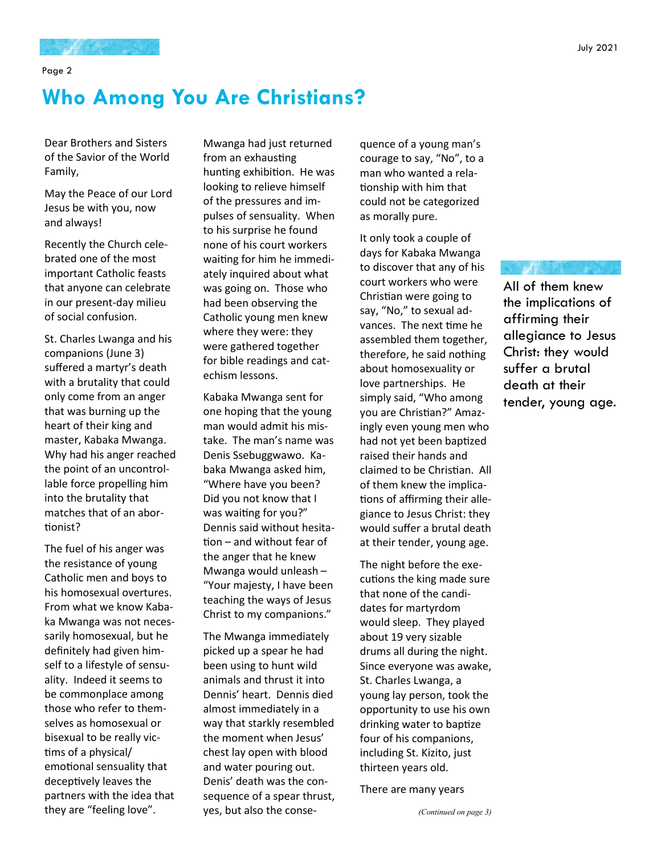Page 2

#### **Who Among You Are Christians?**

Dear Brothers and Sisters of the Savior of the World Family,

May the Peace of our Lord Jesus be with you, now and always!

Recently the Church celebrated one of the most important Catholic feasts that anyone can celebrate in our present-day milieu of social confusion.

St. Charles Lwanga and his companions (June 3) suffered a martyr's death with a brutality that could only come from an anger that was burning up the heart of their king and master, Kabaka Mwanga. Why had his anger reached the point of an uncontrollable force propelling him into the brutality that matches that of an abortionist?

The fuel of his anger was the resistance of young Catholic men and boys to his homosexual overtures. From what we know Kabaka Mwanga was not necessarily homosexual, but he definitely had given himself to a lifestyle of sensuality. Indeed it seems to be commonplace among those who refer to themselves as homosexual or bisexual to be really victims of a physical/ emotional sensuality that deceptively leaves the partners with the idea that they are "feeling love".

Mwanga had just returned from an exhausting hunting exhibition. He was looking to relieve himself of the pressures and impulses of sensuality. When to his surprise he found none of his court workers waiting for him he immediately inquired about what was going on. Those who had been observing the Catholic young men knew where they were: they were gathered together for bible readings and catechism lessons.

Kabaka Mwanga sent for one hoping that the young man would admit his mistake. The man's name was Denis Ssebuggwawo. Kabaka Mwanga asked him, "Where have you been? Did you not know that I was waiting for you?" Dennis said without hesitation – and without fear of the anger that he knew Mwanga would unleash – "Your majesty, I have been teaching the ways of Jesus Christ to my companions."

The Mwanga immediately picked up a spear he had been using to hunt wild animals and thrust it into Dennis' heart. Dennis died almost immediately in a way that starkly resembled the moment when Jesus' chest lay open with blood and water pouring out. Denis' death was the consequence of a spear thrust, yes, but also the consequence of a young man's courage to say, "No", to a man who wanted a relationship with him that could not be categorized as morally pure.

It only took a couple of days for Kabaka Mwanga to discover that any of his court workers who were Christian were going to say, "No," to sexual advances. The next time he assembled them together, therefore, he said nothing about homosexuality or love partnerships. He simply said, "Who among you are Christian?" Amazingly even young men who had not yet been baptized raised their hands and claimed to be Christian. All of them knew the implications of affirming their allegiance to Jesus Christ: they would suffer a brutal death at their tender, young age.

The night before the executions the king made sure that none of the candidates for martyrdom would sleep. They played about 19 very sizable drums all during the night. Since everyone was awake, St. Charles Lwanga, a young lay person, took the opportunity to use his own drinking water to baptize four of his companions, including St. Kizito, just thirteen years old.

There are many years

All of them knew the implications of affirming their allegiance to Jesus Christ: they would suffer a brutal death at their tender, young age.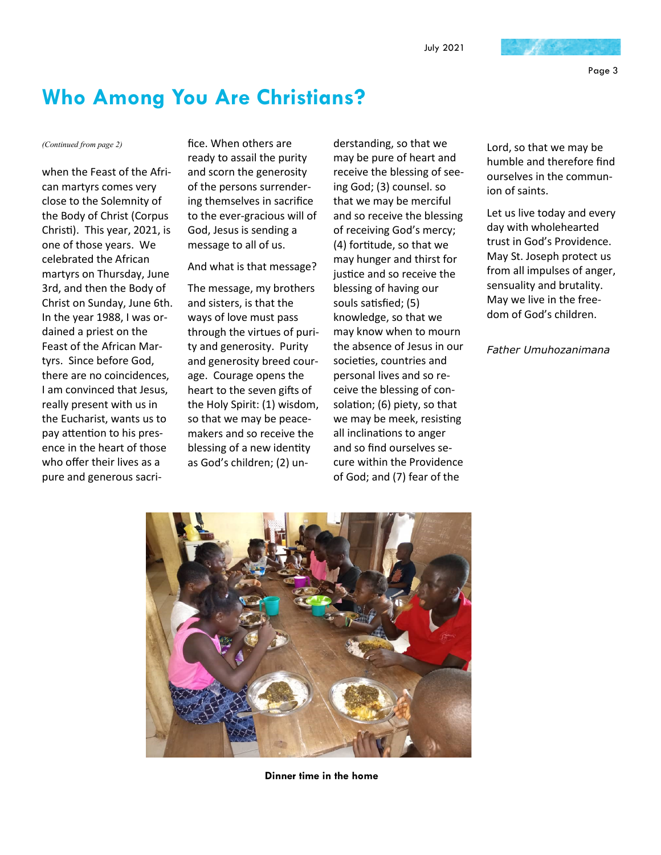Page 3

#### **Who Among You Are Christians?**

when the Feast of the African martyrs comes very close to the Solemnity of the Body of Christ (Corpus Christi). This year, 2021, is one of those years. We celebrated the African martyrs on Thursday, June 3rd, and then the Body of Christ on Sunday, June 6th. In the year 1988, I was ordained a priest on the Feast of the African Martyrs. Since before God, there are no coincidences, I am convinced that Jesus, really present with us in the Eucharist, wants us to pay attention to his presence in the heart of those who offer their lives as a pure and generous sacri-

*(Continued from page 2)* fice. When others are ready to assail the purity and scorn the generosity of the persons surrendering themselves in sacrifice to the ever-gracious will of God, Jesus is sending a message to all of us.

And what is that message?

The message, my brothers and sisters, is that the ways of love must pass through the virtues of purity and generosity. Purity and generosity breed courage. Courage opens the heart to the seven gifts of the Holy Spirit: (1) wisdom, so that we may be peacemakers and so receive the blessing of a new identity as God's children; (2) understanding, so that we may be pure of heart and receive the blessing of seeing God; (3) counsel. so that we may be merciful and so receive the blessing of receiving God's mercy; (4) fortitude, so that we may hunger and thirst for justice and so receive the blessing of having our souls satisfied; (5) knowledge, so that we may know when to mourn the absence of Jesus in our societies, countries and personal lives and so receive the blessing of consolation; (6) piety, so that we may be meek, resisting all inclinations to anger and so find ourselves secure within the Providence of God; and (7) fear of the

Lord, so that we may be humble and therefore find ourselves in the communion of saints.

Let us live today and every day with wholehearted trust in God's Providence. May St. Joseph protect us from all impulses of anger, sensuality and brutality. May we live in the freedom of God's children.

*Father Umuhozanimana*



**Dinner time in the home**